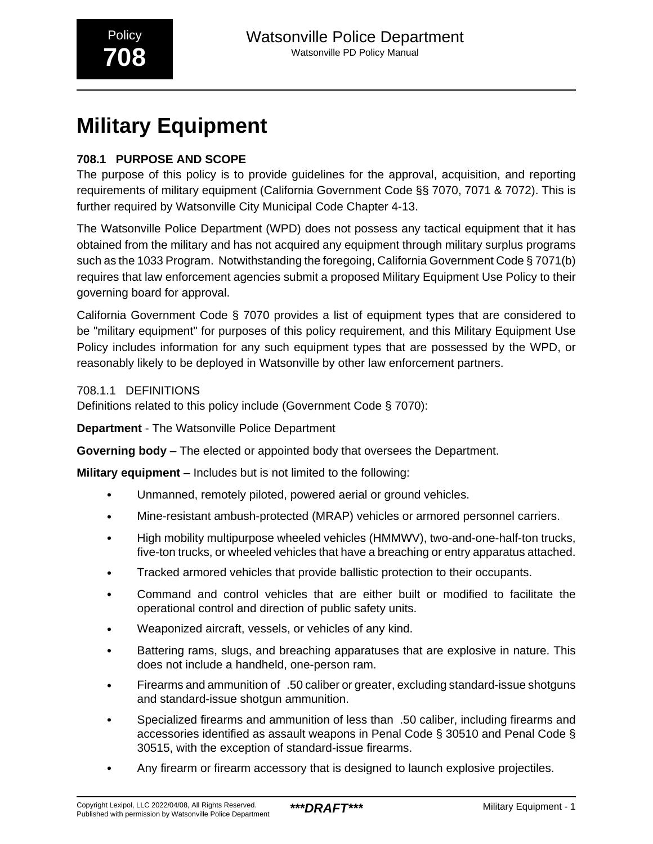# **Military Equipment**

## **708.1 PURPOSE AND SCOPE**

The purpose of this policy is to provide guidelines for the approval, acquisition, and reporting requirements of military equipment (California Government Code §§ 7070, 7071 & 7072). This is further required by Watsonville City Municipal Code Chapter 4-13.

The Watsonville Police Department (WPD) does not possess any tactical equipment that it has obtained from the military and has not acquired any equipment through military surplus programs such as the 1033 Program. Notwithstanding the foregoing, California Government Code § 7071(b) requires that law enforcement agencies submit a proposed Military Equipment Use Policy to their governing board for approval.

California Government Code § 7070 provides a list of equipment types that are considered to be "military equipment" for purposes of this policy requirement, and this Military Equipment Use Policy includes information for any such equipment types that are possessed by the WPD, or reasonably likely to be deployed in Watsonville by other law enforcement partners.

708.1.1 DEFINITIONS

Definitions related to this policy include (Government Code § 7070):

**Department** - The Watsonville Police Department

**Governing body** – The elected or appointed body that oversees the Department.

**Military equipment** – Includes but is not limited to the following:

- Unmanned, remotely piloted, powered aerial or ground vehicles.
- Mine-resistant ambush-protected (MRAP) vehicles or armored personnel carriers.
- High mobility multipurpose wheeled vehicles (HMMWV), two-and-one-half-ton trucks, five-ton trucks, or wheeled vehicles that have a breaching or entry apparatus attached.
- Tracked armored vehicles that provide ballistic protection to their occupants.
- Command and control vehicles that are either built or modified to facilitate the operational control and direction of public safety units.
- Weaponized aircraft, vessels, or vehicles of any kind.
- Battering rams, slugs, and breaching apparatuses that are explosive in nature. This does not include a handheld, one-person ram.
- Firearms and ammunition of\_.50 caliber or greater, excluding standard-issue shotguns and standard-issue shotgun ammunition.
- Specialized firearms and ammunition of less than .50 caliber, including firearms and accessories identified as assault weapons in Penal Code § 30510 and Penal Code § 30515, with the exception of standard-issue firearms.
- Any firearm or firearm accessory that is designed to launch explosive projectiles.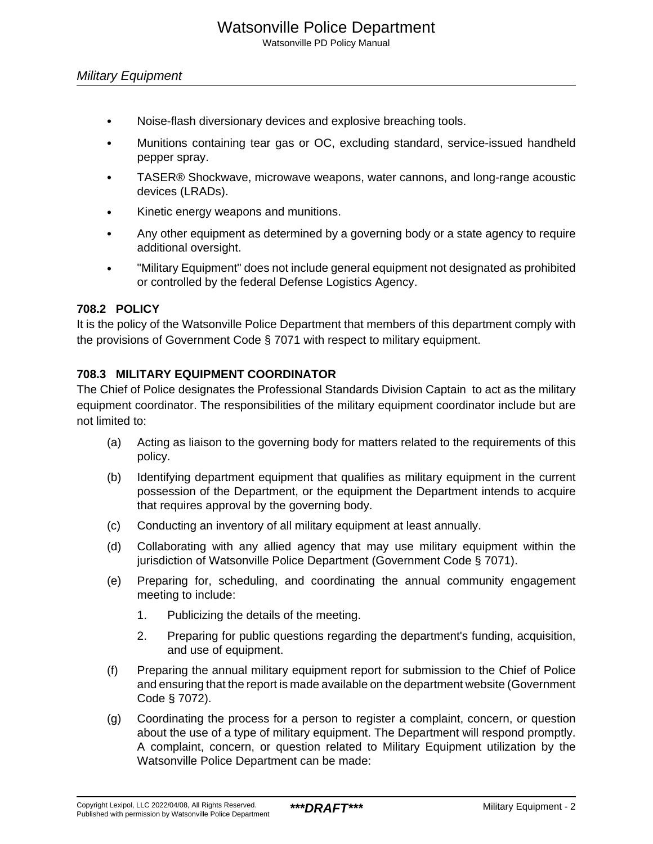Watsonville PD Policy Manual

- Noise-flash diversionary devices and explosive breaching tools.
- Munitions containing tear gas or OC, excluding standard, service-issued handheld pepper spray.
- TASER® Shockwave, microwave weapons, water cannons, and long-range acoustic devices (LRADs).
- Kinetic energy weapons and munitions.
- Any other equipment as determined by a governing body or a state agency to require additional oversight.
- "Military Equipment" does not include general equipment not designated as prohibited or controlled by the federal Defense Logistics Agency.

## **708.2 POLICY**

It is the policy of the Watsonville Police Department that members of this department comply with the provisions of Government Code § 7071 with respect to military equipment.

## **708.3 MILITARY EQUIPMENT COORDINATOR**

The Chief of Police designates the Professional Standards Division Captain to act as the military equipment coordinator. The responsibilities of the military equipment coordinator include but are not limited to:

- (a) Acting as liaison to the governing body for matters related to the requirements of this policy.
- (b) Identifying department equipment that qualifies as military equipment in the current possession of the Department, or the equipment the Department intends to acquire that requires approval by the governing body.
- (c) Conducting an inventory of all military equipment at least annually.
- (d) Collaborating with any allied agency that may use military equipment within the jurisdiction of Watsonville Police Department (Government Code § 7071).
- (e) Preparing for, scheduling, and coordinating the annual community engagement meeting to include:
	- 1. Publicizing the details of the meeting.
	- 2. Preparing for public questions regarding the department's funding, acquisition, and use of equipment.
- (f) Preparing the annual military equipment report for submission to the Chief of Police and ensuring that the report is made available on the department website (Government Code § 7072).
- (g) Coordinating the process for a person to register a complaint, concern, or question about the use of a type of military equipment. The Department will respond promptly. A complaint, concern, or question related to Military Equipment utilization by the Watsonville Police Department can be made: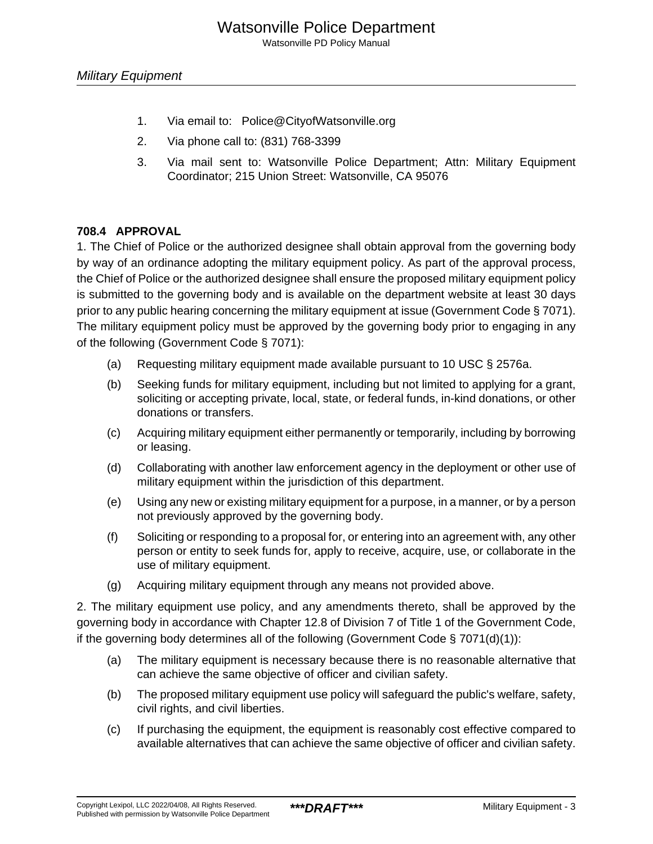Watsonville PD Policy Manual

- 1. Via email to: Police@CityofWatsonville.org
- 2. Via phone call to: (831) 768-3399
- 3. Via mail sent to: Watsonville Police Department; Attn: Military Equipment Coordinator; 215 Union Street: Watsonville, CA 95076

## **708.4 APPROVAL**

1. The Chief of Police or the authorized designee shall obtain approval from the governing body by way of an ordinance adopting the military equipment policy. As part of the approval process, the Chief of Police or the authorized designee shall ensure the proposed military equipment policy is submitted to the governing body and is available on the department website at least 30 days prior to any public hearing concerning the military equipment at issue (Government Code § 7071). The military equipment policy must be approved by the governing body prior to engaging in any of the following (Government Code § 7071):

- (a) Requesting military equipment made available pursuant to 10 USC § 2576a.
- (b) Seeking funds for military equipment, including but not limited to applying for a grant, soliciting or accepting private, local, state, or federal funds, in-kind donations, or other donations or transfers.
- (c) Acquiring military equipment either permanently or temporarily, including by borrowing or leasing.
- (d) Collaborating with another law enforcement agency in the deployment or other use of military equipment within the jurisdiction of this department.
- (e) Using any new or existing military equipment for a purpose, in a manner, or by a person not previously approved by the governing body.
- (f) Soliciting or responding to a proposal for, or entering into an agreement with, any other person or entity to seek funds for, apply to receive, acquire, use, or collaborate in the use of military equipment.
- (g) Acquiring military equipment through any means not provided above.

2. The military equipment use policy, and any amendments thereto, shall be approved by the governing body in accordance with Chapter 12.8 of Division 7 of Title 1 of the Government Code, if the governing body determines all of the following (Government Code  $\S$  7071(d)(1)):

- (a) The military equipment is necessary because there is no reasonable alternative that can achieve the same objective of officer and civilian safety.
- (b) The proposed military equipment use policy will safeguard the public's welfare, safety, civil rights, and civil liberties.
- (c) If purchasing the equipment, the equipment is reasonably cost effective compared to available alternatives that can achieve the same objective of officer and civilian safety.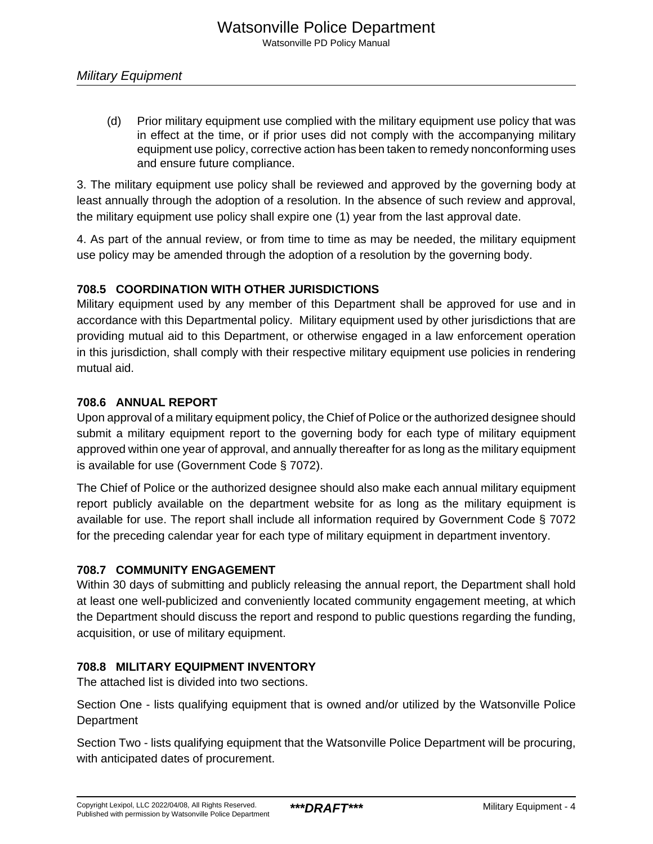(d) Prior military equipment use complied with the military equipment use policy that was in effect at the time, or if prior uses did not comply with the accompanying military equipment use policy, corrective action has been taken to remedy nonconforming uses and ensure future compliance.

3. The military equipment use policy shall be reviewed and approved by the governing body at least annually through the adoption of a resolution. In the absence of such review and approval, the military equipment use policy shall expire one (1) year from the last approval date.

4. As part of the annual review, or from time to time as may be needed, the military equipment use policy may be amended through the adoption of a resolution by the governing body.

## **708.5 COORDINATION WITH OTHER JURISDICTIONS**

Military equipment used by any member of this Department shall be approved for use and in accordance with this Departmental policy. Military equipment used by other jurisdictions that are providing mutual aid to this Department, or otherwise engaged in a law enforcement operation in this jurisdiction, shall comply with their respective military equipment use policies in rendering mutual aid.

## **708.6 ANNUAL REPORT**

Upon approval of a military equipment policy, the Chief of Police or the authorized designee should submit a military equipment report to the governing body for each type of military equipment approved within one year of approval, and annually thereafter for as long as the military equipment is available for use (Government Code § 7072).

The Chief of Police or the authorized designee should also make each annual military equipment report publicly available on the department website for as long as the military equipment is available for use. The report shall include all information required by Government Code § 7072 for the preceding calendar year for each type of military equipment in department inventory.

## **708.7 COMMUNITY ENGAGEMENT**

Within 30 days of submitting and publicly releasing the annual report, the Department shall hold at least one well-publicized and conveniently located community engagement meeting, at which the Department should discuss the report and respond to public questions regarding the funding, acquisition, or use of military equipment.

## **708.8 MILITARY EQUIPMENT INVENTORY**

The attached list is divided into two sections.

Section One - lists qualifying equipment that is owned and/or utilized by the Watsonville Police **Department** 

Section Two - lists qualifying equipment that the Watsonville Police Department will be procuring, with anticipated dates of procurement.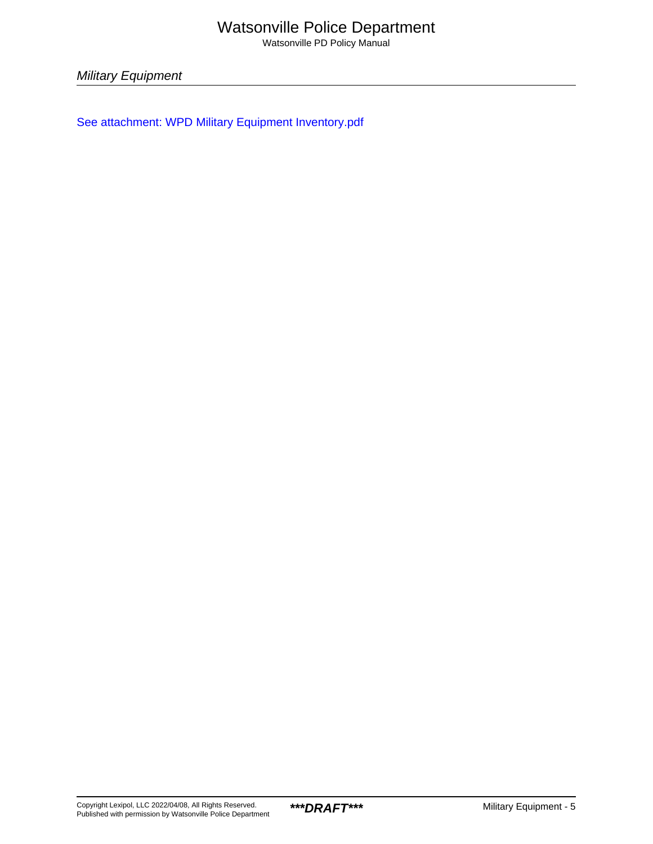## Watsonville Police Department

Watsonville PD Policy Manual

Military Equipment

[See attachment: WPD Military Equipment Inventory.pdf](#page-6-0)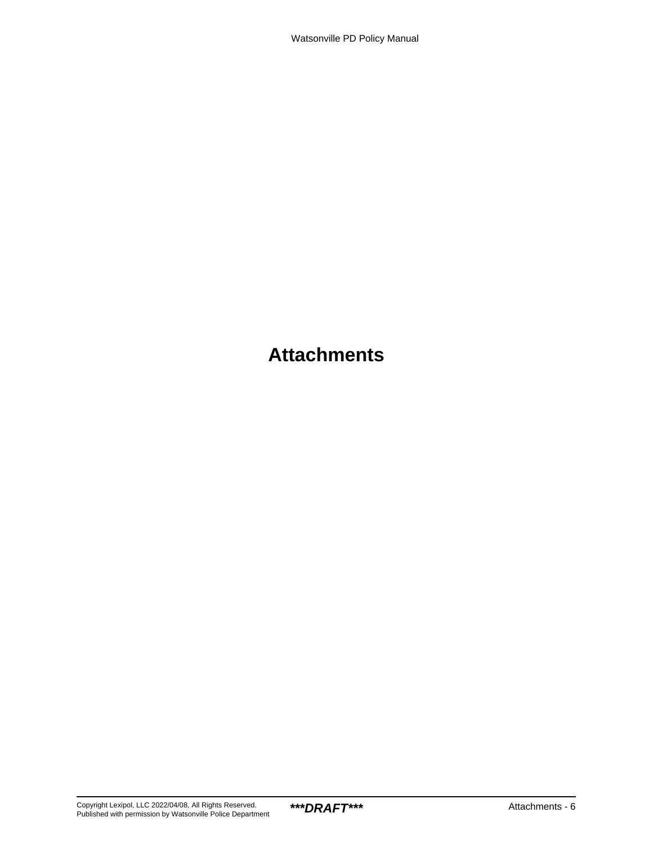## **Attachments**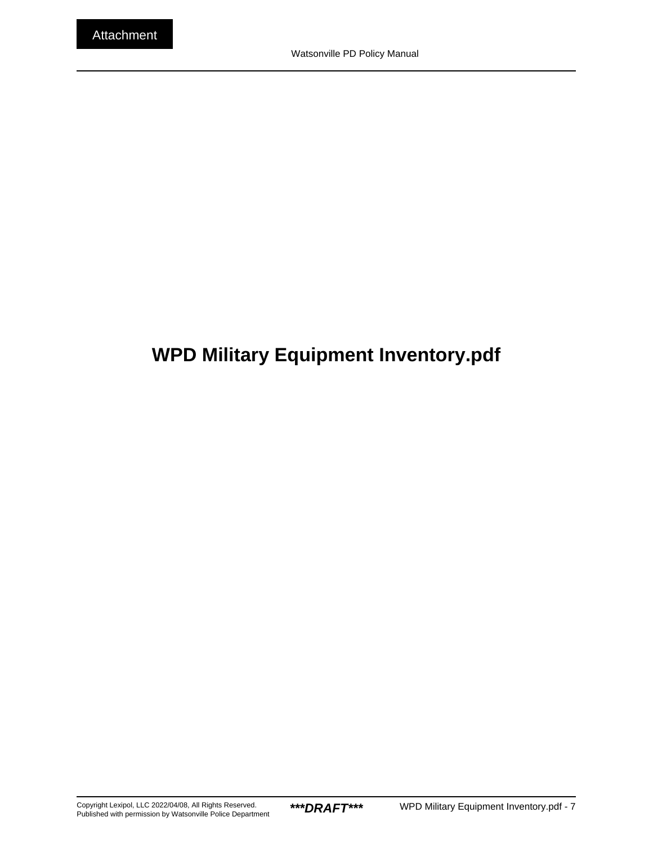## <span id="page-6-0"></span>**WPD Military Equipment Inventory.pdf**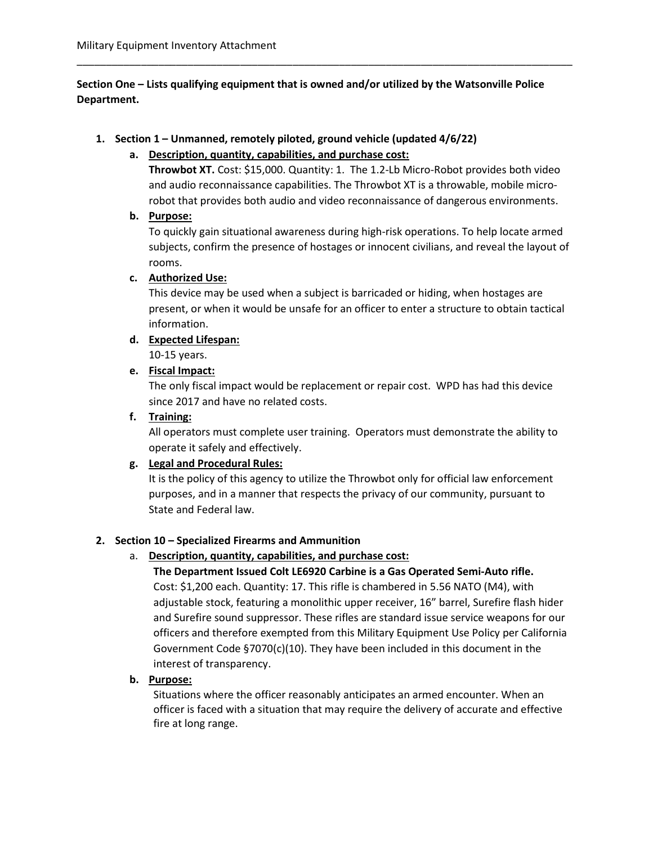Section One – Lists qualifying equipment that is owned and/or utilized by the Watsonville Police Department.

\_\_\_\_\_\_\_\_\_\_\_\_\_\_\_\_\_\_\_\_\_\_\_\_\_\_\_\_\_\_\_\_\_\_\_\_\_\_\_\_\_\_\_\_\_\_\_\_\_\_\_\_\_\_\_\_\_\_\_\_\_\_\_\_\_\_\_\_\_\_\_\_\_\_\_\_\_\_\_\_\_\_\_\_\_

#### 1. Section 1 – Unmanned, remotely piloted, ground vehicle (updated 4/6/22)

#### a. Description, quantity, capabilities, and purchase cost:

Throwbot XT. Cost: \$15,000. Quantity: 1. The 1.2-Lb Micro-Robot provides both video and audio reconnaissance capabilities. The Throwbot XT is a throwable, mobile microrobot that provides both audio and video reconnaissance of dangerous environments.

#### b. Purpose:

To quickly gain situational awareness during high-risk operations. To help locate armed subjects, confirm the presence of hostages or innocent civilians, and reveal the layout of rooms.

#### c. Authorized Use:

This device may be used when a subject is barricaded or hiding, when hostages are present, or when it would be unsafe for an officer to enter a structure to obtain tactical information.

#### d. Expected Lifespan:

10-15 years.

#### e. Fiscal Impact:

The only fiscal impact would be replacement or repair cost. WPD has had this device since 2017 and have no related costs.

#### f. Training:

All operators must complete user training. Operators must demonstrate the ability to operate it safely and effectively.

#### g. Legal and Procedural Rules:

It is the policy of this agency to utilize the Throwbot only for official law enforcement purposes, and in a manner that respects the privacy of our community, pursuant to State and Federal law.

#### 2. Section 10 – Specialized Firearms and Ammunition

#### a. Description, quantity, capabilities, and purchase cost:

The Department Issued Colt LE6920 Carbine is a Gas Operated Semi-Auto rifle. Cost: \$1,200 each. Quantity: 17. This rifle is chambered in 5.56 NATO (M4), with adjustable stock, featuring a monolithic upper receiver, 16" barrel, Surefire flash hider and Surefire sound suppressor. These rifles are standard issue service weapons for our officers and therefore exempted from this Military Equipment Use Policy per California Government Code §7070(c)(10). They have been included in this document in the interest of transparency.

#### b. Purpose:

Situations where the officer reasonably anticipates an armed encounter. When an officer is faced with a situation that may require the delivery of accurate and effective fire at long range.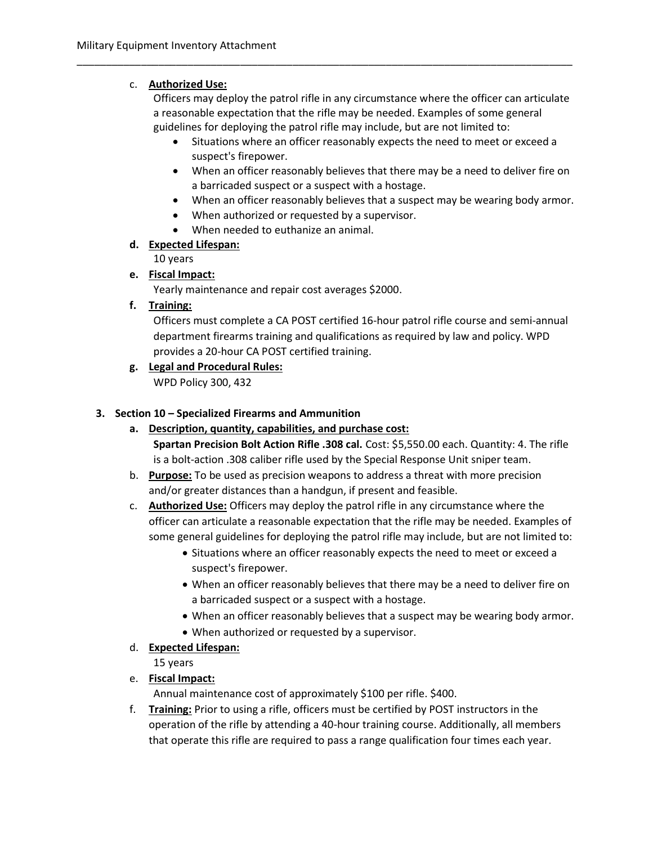## c. Authorized Use:

Officers may deploy the patrol rifle in any circumstance where the officer can articulate a reasonable expectation that the rifle may be needed. Examples of some general guidelines for deploying the patrol rifle may include, but are not limited to:

\_\_\_\_\_\_\_\_\_\_\_\_\_\_\_\_\_\_\_\_\_\_\_\_\_\_\_\_\_\_\_\_\_\_\_\_\_\_\_\_\_\_\_\_\_\_\_\_\_\_\_\_\_\_\_\_\_\_\_\_\_\_\_\_\_\_\_\_\_\_\_\_\_\_\_\_\_\_\_\_\_\_\_\_\_

- Situations where an officer reasonably expects the need to meet or exceed a suspect's firepower.
- When an officer reasonably believes that there may be a need to deliver fire on a barricaded suspect or a suspect with a hostage.
- When an officer reasonably believes that a suspect may be wearing body armor.
- When authorized or requested by a supervisor.
- When needed to euthanize an animal.

## d. Expected Lifespan:

10 years

e. Fiscal Impact:

Yearly maintenance and repair cost averages \$2000.

## f. Training:

Officers must complete a CA POST certified 16-hour patrol rifle course and semi-annual department firearms training and qualifications as required by law and policy. WPD provides a 20-hour CA POST certified training.

g. Legal and Procedural Rules: WPD Policy 300, 432

#### 3. Section 10 – Specialized Firearms and Ammunition

- a. Description, quantity, capabilities, and purchase cost: Spartan Precision Bolt Action Rifle .308 cal. Cost: \$5,550.00 each. Quantity: 4. The rifle is a bolt-action .308 caliber rifle used by the Special Response Unit sniper team.
- b. Purpose: To be used as precision weapons to address a threat with more precision and/or greater distances than a handgun, if present and feasible.
- c. Authorized Use: Officers may deploy the patrol rifle in any circumstance where the officer can articulate a reasonable expectation that the rifle may be needed. Examples of some general guidelines for deploying the patrol rifle may include, but are not limited to:
	- Situations where an officer reasonably expects the need to meet or exceed a suspect's firepower.
	- When an officer reasonably believes that there may be a need to deliver fire on a barricaded suspect or a suspect with a hostage.
	- When an officer reasonably believes that a suspect may be wearing body armor.
	- When authorized or requested by a supervisor.
- d. Expected Lifespan:

15 years

## e. Fiscal Impact:

Annual maintenance cost of approximately \$100 per rifle. \$400.

f. Training: Prior to using a rifle, officers must be certified by POST instructors in the operation of the rifle by attending a 40-hour training course. Additionally, all members that operate this rifle are required to pass a range qualification four times each year.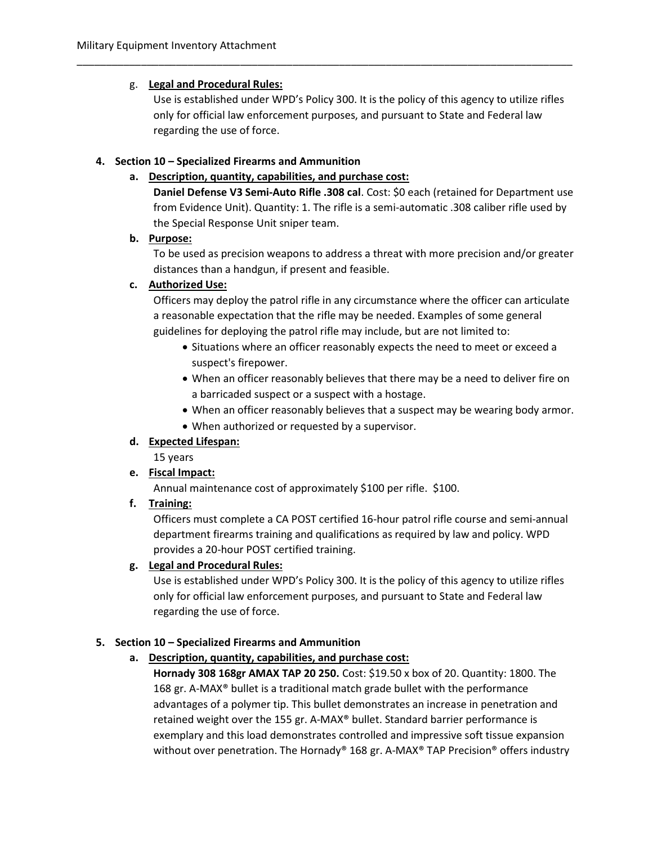## g. Legal and Procedural Rules:

Use is established under WPD's Policy 300. It is the policy of this agency to utilize rifles only for official law enforcement purposes, and pursuant to State and Federal law regarding the use of force.

\_\_\_\_\_\_\_\_\_\_\_\_\_\_\_\_\_\_\_\_\_\_\_\_\_\_\_\_\_\_\_\_\_\_\_\_\_\_\_\_\_\_\_\_\_\_\_\_\_\_\_\_\_\_\_\_\_\_\_\_\_\_\_\_\_\_\_\_\_\_\_\_\_\_\_\_\_\_\_\_\_\_\_\_\_

#### 4. Section 10 – Specialized Firearms and Ammunition

#### a. Description, quantity, capabilities, and purchase cost:

Daniel Defense V3 Semi-Auto Rifle .308 cal. Cost: \$0 each (retained for Department use from Evidence Unit). Quantity: 1. The rifle is a semi-automatic .308 caliber rifle used by the Special Response Unit sniper team.

#### b. Purpose:

To be used as precision weapons to address a threat with more precision and/or greater distances than a handgun, if present and feasible.

#### c. Authorized Use:

Officers may deploy the patrol rifle in any circumstance where the officer can articulate a reasonable expectation that the rifle may be needed. Examples of some general guidelines for deploying the patrol rifle may include, but are not limited to:

- Situations where an officer reasonably expects the need to meet or exceed a suspect's firepower.
- When an officer reasonably believes that there may be a need to deliver fire on a barricaded suspect or a suspect with a hostage.
- When an officer reasonably believes that a suspect may be wearing body armor.
- When authorized or requested by a supervisor.

## d. Expected Lifespan:

15 years

## e. Fiscal Impact:

Annual maintenance cost of approximately \$100 per rifle. \$100.

#### f. Training:

Officers must complete a CA POST certified 16-hour patrol rifle course and semi-annual department firearms training and qualifications as required by law and policy. WPD provides a 20-hour POST certified training.

## g. Legal and Procedural Rules:

Use is established under WPD's Policy 300. It is the policy of this agency to utilize rifles only for official law enforcement purposes, and pursuant to State and Federal law regarding the use of force.

## 5. Section 10 – Specialized Firearms and Ammunition

## a. Description, quantity, capabilities, and purchase cost:

Hornady 308 168gr AMAX TAP 20 250. Cost: \$19.50 x box of 20. Quantity: 1800. The 168 gr. A-MAX® bullet is a traditional match grade bullet with the performance advantages of a polymer tip. This bullet demonstrates an increase in penetration and retained weight over the 155 gr. A-MAX® bullet. Standard barrier performance is exemplary and this load demonstrates controlled and impressive soft tissue expansion without over penetration. The Hornady® 168 gr. A-MAX® TAP Precision® offers industry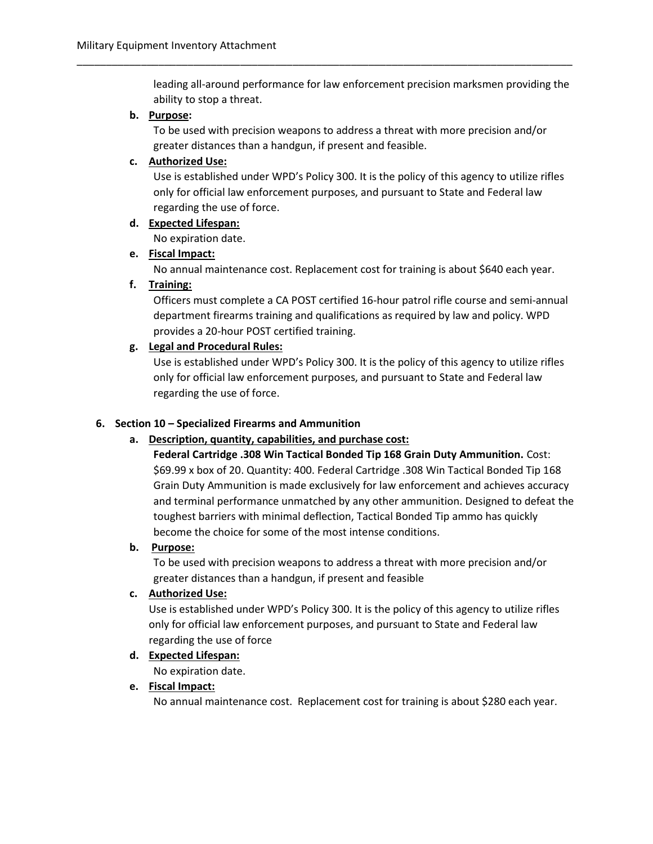leading all-around performance for law enforcement precision marksmen providing the ability to stop a threat.

#### b. Purpose:

To be used with precision weapons to address a threat with more precision and/or greater distances than a handgun, if present and feasible.

\_\_\_\_\_\_\_\_\_\_\_\_\_\_\_\_\_\_\_\_\_\_\_\_\_\_\_\_\_\_\_\_\_\_\_\_\_\_\_\_\_\_\_\_\_\_\_\_\_\_\_\_\_\_\_\_\_\_\_\_\_\_\_\_\_\_\_\_\_\_\_\_\_\_\_\_\_\_\_\_\_\_\_\_\_

#### c. Authorized Use:

Use is established under WPD's Policy 300. It is the policy of this agency to utilize rifles only for official law enforcement purposes, and pursuant to State and Federal law regarding the use of force.

d. Expected Lifespan:

No expiration date.

#### e. Fiscal Impact:

No annual maintenance cost. Replacement cost for training is about \$640 each year.

#### f. Training:

Officers must complete a CA POST certified 16-hour patrol rifle course and semi-annual department firearms training and qualifications as required by law and policy. WPD provides a 20-hour POST certified training.

#### g. Legal and Procedural Rules:

Use is established under WPD's Policy 300. It is the policy of this agency to utilize rifles only for official law enforcement purposes, and pursuant to State and Federal law regarding the use of force.

#### 6. Section 10 – Specialized Firearms and Ammunition

#### a. Description, quantity, capabilities, and purchase cost:

Federal Cartridge .308 Win Tactical Bonded Tip 168 Grain Duty Ammunition. Cost: \$69.99 x box of 20. Quantity: 400. Federal Cartridge .308 Win Tactical Bonded Tip 168 Grain Duty Ammunition is made exclusively for law enforcement and achieves accuracy and terminal performance unmatched by any other ammunition. Designed to defeat the toughest barriers with minimal deflection, Tactical Bonded Tip ammo has quickly become the choice for some of the most intense conditions.

#### b. Purpose:

To be used with precision weapons to address a threat with more precision and/or greater distances than a handgun, if present and feasible

#### c. Authorized Use:

Use is established under WPD's Policy 300. It is the policy of this agency to utilize rifles only for official law enforcement purposes, and pursuant to State and Federal law regarding the use of force

#### d. Expected Lifespan:

No expiration date.

#### e. Fiscal Impact:

No annual maintenance cost. Replacement cost for training is about \$280 each year.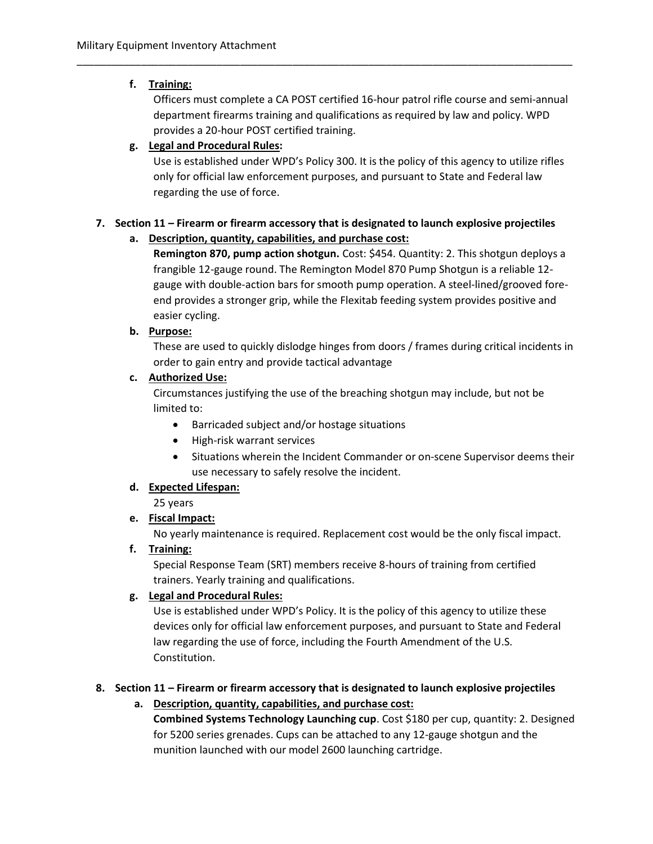## f. Training:

Officers must complete a CA POST certified 16-hour patrol rifle course and semi-annual department firearms training and qualifications as required by law and policy. WPD provides a 20-hour POST certified training.

## g. Legal and Procedural Rules:

Use is established under WPD's Policy 300. It is the policy of this agency to utilize rifles only for official law enforcement purposes, and pursuant to State and Federal law regarding the use of force.

## 7. Section 11 – Firearm or firearm accessory that is designated to launch explosive projectiles

\_\_\_\_\_\_\_\_\_\_\_\_\_\_\_\_\_\_\_\_\_\_\_\_\_\_\_\_\_\_\_\_\_\_\_\_\_\_\_\_\_\_\_\_\_\_\_\_\_\_\_\_\_\_\_\_\_\_\_\_\_\_\_\_\_\_\_\_\_\_\_\_\_\_\_\_\_\_\_\_\_\_\_\_\_

## a. Description, quantity, capabilities, and purchase cost:

Remington 870, pump action shotgun. Cost: \$454. Quantity: 2. This shotgun deploys a frangible 12-gauge round. The Remington Model 870 Pump Shotgun is a reliable 12 gauge with double-action bars for smooth pump operation. A steel-lined/grooved foreend provides a stronger grip, while the Flexitab feeding system provides positive and easier cycling.

## b. Purpose:

These are used to quickly dislodge hinges from doors / frames during critical incidents in order to gain entry and provide tactical advantage

## c. Authorized Use:

Circumstances justifying the use of the breaching shotgun may include, but not be limited to:

- Barricaded subject and/or hostage situations
- High-risk warrant services
- Situations wherein the Incident Commander or on-scene Supervisor deems their use necessary to safely resolve the incident.

## d. Expected Lifespan:

25 years

## e. Fiscal Impact:

No yearly maintenance is required. Replacement cost would be the only fiscal impact.

## f. Training:

Special Response Team (SRT) members receive 8-hours of training from certified trainers. Yearly training and qualifications.

## g. Legal and Procedural Rules:

Use is established under WPD's Policy. It is the policy of this agency to utilize these devices only for official law enforcement purposes, and pursuant to State and Federal law regarding the use of force, including the Fourth Amendment of the U.S. Constitution.

## 8. Section 11 – Firearm or firearm accessory that is designated to launch explosive projectiles

a. Description, quantity, capabilities, and purchase cost: Combined Systems Technology Launching cup. Cost \$180 per cup, quantity: 2. Designed for 5200 series grenades. Cups can be attached to any 12-gauge shotgun and the munition launched with our model 2600 launching cartridge.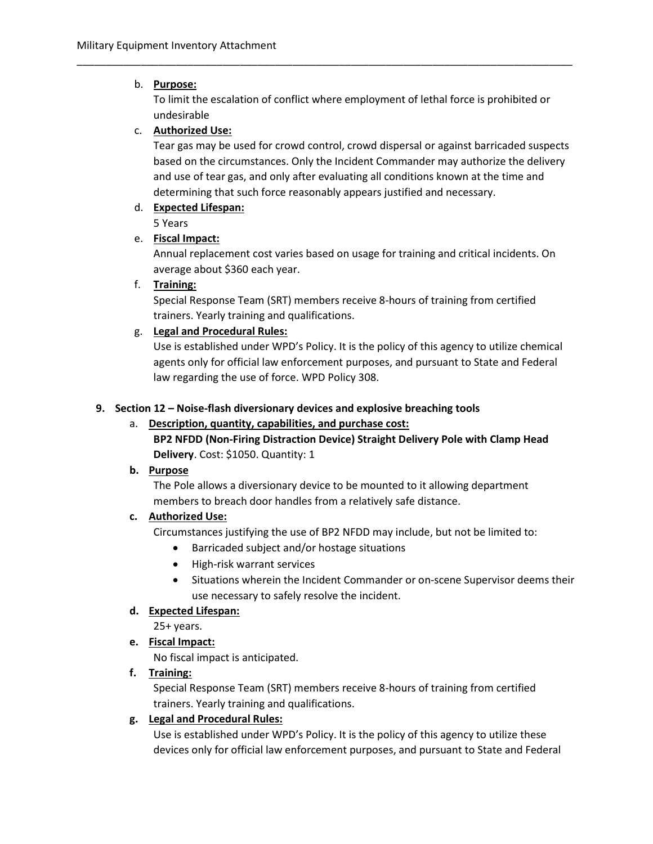## b. Purpose:

To limit the escalation of conflict where employment of lethal force is prohibited or undesirable

\_\_\_\_\_\_\_\_\_\_\_\_\_\_\_\_\_\_\_\_\_\_\_\_\_\_\_\_\_\_\_\_\_\_\_\_\_\_\_\_\_\_\_\_\_\_\_\_\_\_\_\_\_\_\_\_\_\_\_\_\_\_\_\_\_\_\_\_\_\_\_\_\_\_\_\_\_\_\_\_\_\_\_\_\_

## c. Authorized Use:

Tear gas may be used for crowd control, crowd dispersal or against barricaded suspects based on the circumstances. Only the Incident Commander may authorize the delivery and use of tear gas, and only after evaluating all conditions known at the time and determining that such force reasonably appears justified and necessary.

## d. Expected Lifespan:

5 Years

## e. Fiscal Impact:

Annual replacement cost varies based on usage for training and critical incidents. On average about \$360 each year.

## f. Training:

Special Response Team (SRT) members receive 8-hours of training from certified trainers. Yearly training and qualifications.

## g. Legal and Procedural Rules:

Use is established under WPD's Policy. It is the policy of this agency to utilize chemical agents only for official law enforcement purposes, and pursuant to State and Federal law regarding the use of force. WPD Policy 308.

## 9. Section 12 – Noise-flash diversionary devices and explosive breaching tools

## a. Description, quantity, capabilities, and purchase cost: BP2 NFDD (Non-Firing Distraction Device) Straight Delivery Pole with Clamp Head Delivery. Cost: \$1050. Quantity: 1

## b. Purpose

The Pole allows a diversionary device to be mounted to it allowing department members to breach door handles from a relatively safe distance.

## c. Authorized Use:

Circumstances justifying the use of BP2 NFDD may include, but not be limited to:

- Barricaded subject and/or hostage situations
- High-risk warrant services
- Situations wherein the Incident Commander or on-scene Supervisor deems their use necessary to safely resolve the incident.

## d. Expected Lifespan:

25+ years.

## e. Fiscal Impact:

No fiscal impact is anticipated.

## f. Training:

Special Response Team (SRT) members receive 8-hours of training from certified trainers. Yearly training and qualifications.

## g. Legal and Procedural Rules:

Use is established under WPD's Policy. It is the policy of this agency to utilize these devices only for official law enforcement purposes, and pursuant to State and Federal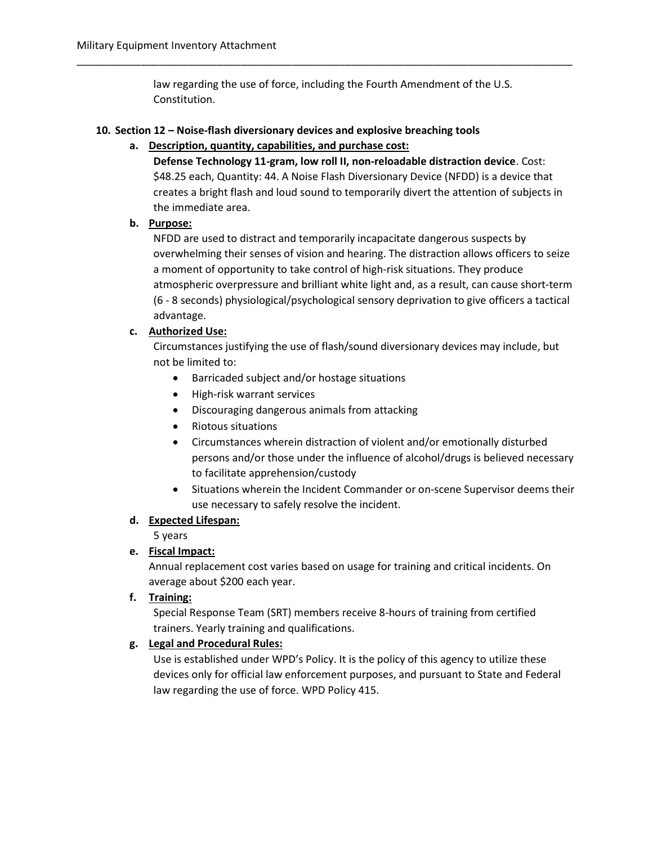law regarding the use of force, including the Fourth Amendment of the U.S. Constitution.

\_\_\_\_\_\_\_\_\_\_\_\_\_\_\_\_\_\_\_\_\_\_\_\_\_\_\_\_\_\_\_\_\_\_\_\_\_\_\_\_\_\_\_\_\_\_\_\_\_\_\_\_\_\_\_\_\_\_\_\_\_\_\_\_\_\_\_\_\_\_\_\_\_\_\_\_\_\_\_\_\_\_\_\_\_

#### 10. Section 12 – Noise-flash diversionary devices and explosive breaching tools

#### a. Description, quantity, capabilities, and purchase cost:

Defense Technology 11-gram, low roll II, non-reloadable distraction device. Cost: \$48.25 each, Quantity: 44. A Noise Flash Diversionary Device (NFDD) is a device that creates a bright flash and loud sound to temporarily divert the attention of subjects in the immediate area.

#### b. Purpose:

NFDD are used to distract and temporarily incapacitate dangerous suspects by overwhelming their senses of vision and hearing. The distraction allows officers to seize a moment of opportunity to take control of high-risk situations. They produce atmospheric overpressure and brilliant white light and, as a result, can cause short-term (6 - 8 seconds) physiological/psychological sensory deprivation to give officers a tactical advantage.

#### c. Authorized Use:

Circumstances justifying the use of flash/sound diversionary devices may include, but not be limited to:

- Barricaded subject and/or hostage situations
- High-risk warrant services
- Discouraging dangerous animals from attacking
- Riotous situations
- Circumstances wherein distraction of violent and/or emotionally disturbed persons and/or those under the influence of alcohol/drugs is believed necessary to facilitate apprehension/custody
- Situations wherein the Incident Commander or on-scene Supervisor deems their use necessary to safely resolve the incident.

#### d. Expected Lifespan:

5 years

#### e. Fiscal Impact:

Annual replacement cost varies based on usage for training and critical incidents. On average about \$200 each year.

f. Training:

Special Response Team (SRT) members receive 8-hours of training from certified trainers. Yearly training and qualifications.

#### g. Legal and Procedural Rules:

Use is established under WPD's Policy. It is the policy of this agency to utilize these devices only for official law enforcement purposes, and pursuant to State and Federal law regarding the use of force. WPD Policy 415.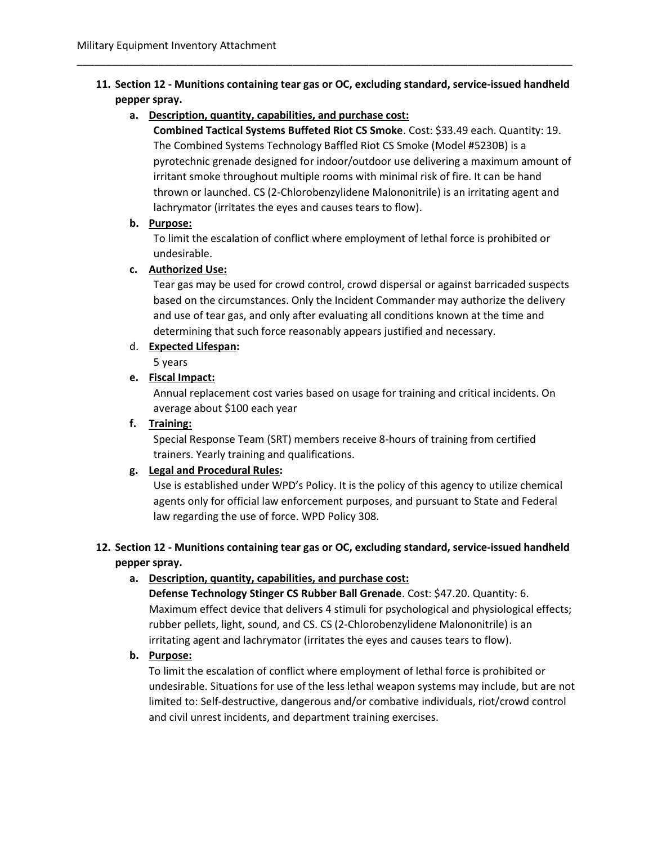## 11. Section 12 - Munitions containing tear gas or OC, excluding standard, service-issued handheld pepper spray.

\_\_\_\_\_\_\_\_\_\_\_\_\_\_\_\_\_\_\_\_\_\_\_\_\_\_\_\_\_\_\_\_\_\_\_\_\_\_\_\_\_\_\_\_\_\_\_\_\_\_\_\_\_\_\_\_\_\_\_\_\_\_\_\_\_\_\_\_\_\_\_\_\_\_\_\_\_\_\_\_\_\_\_\_\_

a. Description, quantity, capabilities, and purchase cost:

Combined Tactical Systems Buffeted Riot CS Smoke. Cost: \$33.49 each. Quantity: 19. The Combined Systems Technology Baffled Riot CS Smoke (Model #5230B) is a pyrotechnic grenade designed for indoor/outdoor use delivering a maximum amount of irritant smoke throughout multiple rooms with minimal risk of fire. It can be hand thrown or launched. CS (2-Chlorobenzylidene Malononitrile) is an irritating agent and lachrymator (irritates the eyes and causes tears to flow).

#### b. Purpose:

To limit the escalation of conflict where employment of lethal force is prohibited or undesirable.

## c. Authorized Use:

Tear gas may be used for crowd control, crowd dispersal or against barricaded suspects based on the circumstances. Only the Incident Commander may authorize the delivery and use of tear gas, and only after evaluating all conditions known at the time and determining that such force reasonably appears justified and necessary.

## d. Expected Lifespan:

5 years

## e. Fiscal Impact:

Annual replacement cost varies based on usage for training and critical incidents. On average about \$100 each year

## f. Training:

Special Response Team (SRT) members receive 8-hours of training from certified trainers. Yearly training and qualifications.

## g. Legal and Procedural Rules:

Use is established under WPD's Policy. It is the policy of this agency to utilize chemical agents only for official law enforcement purposes, and pursuant to State and Federal law regarding the use of force. WPD Policy 308.

## 12. Section 12 - Munitions containing tear gas or OC, excluding standard, service-issued handheld pepper spray.

## a. Description, quantity, capabilities, and purchase cost:

Defense Technology Stinger CS Rubber Ball Grenade. Cost: \$47.20. Quantity: 6. Maximum effect device that delivers 4 stimuli for psychological and physiological effects; rubber pellets, light, sound, and CS. CS (2-Chlorobenzylidene Malononitrile) is an irritating agent and lachrymator (irritates the eyes and causes tears to flow).

#### b. Purpose:

To limit the escalation of conflict where employment of lethal force is prohibited or undesirable. Situations for use of the less lethal weapon systems may include, but are not limited to: Self-destructive, dangerous and/or combative individuals, riot/crowd control and civil unrest incidents, and department training exercises.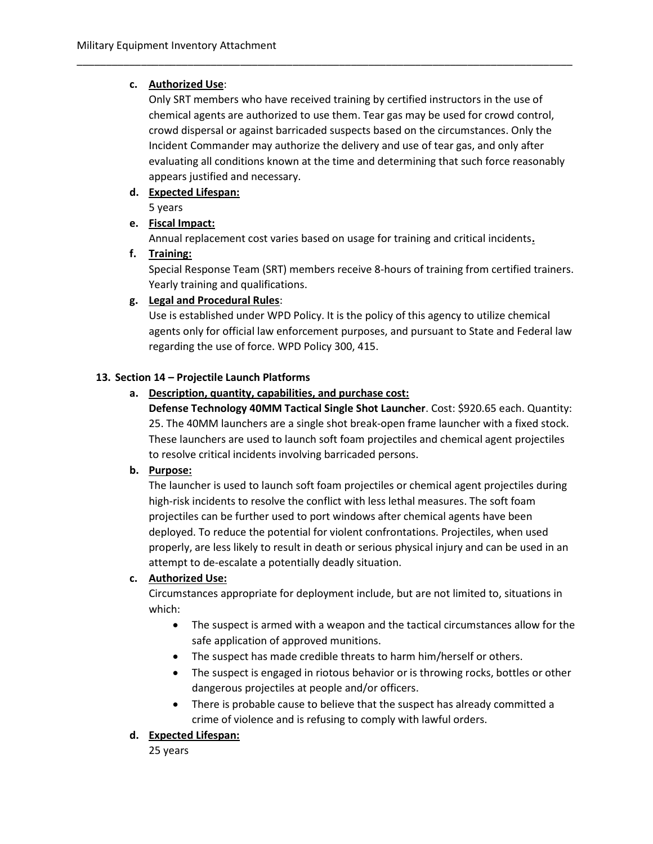#### c. Authorized Use:

Only SRT members who have received training by certified instructors in the use of chemical agents are authorized to use them. Tear gas may be used for crowd control, crowd dispersal or against barricaded suspects based on the circumstances. Only the Incident Commander may authorize the delivery and use of tear gas, and only after evaluating all conditions known at the time and determining that such force reasonably appears justified and necessary.

\_\_\_\_\_\_\_\_\_\_\_\_\_\_\_\_\_\_\_\_\_\_\_\_\_\_\_\_\_\_\_\_\_\_\_\_\_\_\_\_\_\_\_\_\_\_\_\_\_\_\_\_\_\_\_\_\_\_\_\_\_\_\_\_\_\_\_\_\_\_\_\_\_\_\_\_\_\_\_\_\_\_\_\_\_

## d. Expected Lifespan:

5 years

## e. Fiscal Impact:

Annual replacement cost varies based on usage for training and critical incidents.

## f. Training:

Special Response Team (SRT) members receive 8-hours of training from certified trainers. Yearly training and qualifications.

## g. Legal and Procedural Rules:

Use is established under WPD Policy. It is the policy of this agency to utilize chemical agents only for official law enforcement purposes, and pursuant to State and Federal law regarding the use of force. WPD Policy 300, 415.

#### 13. Section 14 – Projectile Launch Platforms

## a. Description, quantity, capabilities, and purchase cost:

Defense Technology 40MM Tactical Single Shot Launcher. Cost: \$920.65 each. Quantity: 25. The 40MM launchers are a single shot break-open frame launcher with a fixed stock. These launchers are used to launch soft foam projectiles and chemical agent projectiles to resolve critical incidents involving barricaded persons.

#### b. Purpose:

The launcher is used to launch soft foam projectiles or chemical agent projectiles during high-risk incidents to resolve the conflict with less lethal measures. The soft foam projectiles can be further used to port windows after chemical agents have been deployed. To reduce the potential for violent confrontations. Projectiles, when used properly, are less likely to result in death or serious physical injury and can be used in an attempt to de-escalate a potentially deadly situation.

#### c. Authorized Use:

Circumstances appropriate for deployment include, but are not limited to, situations in which:

- The suspect is armed with a weapon and the tactical circumstances allow for the safe application of approved munitions.
- The suspect has made credible threats to harm him/herself or others.
- The suspect is engaged in riotous behavior or is throwing rocks, bottles or other dangerous projectiles at people and/or officers.
- There is probable cause to believe that the suspect has already committed a crime of violence and is refusing to comply with lawful orders.

#### d. Expected Lifespan:

25 years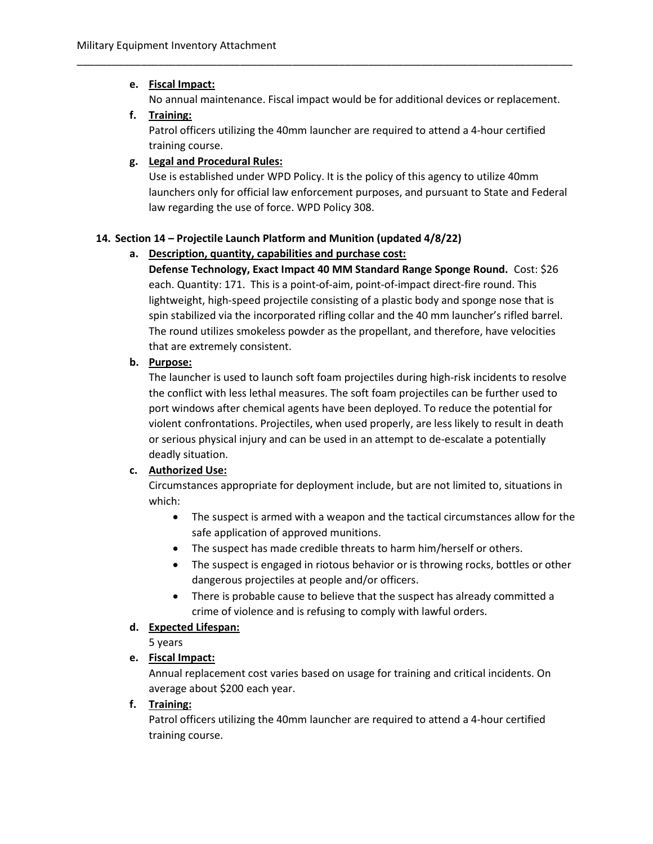## e. Fiscal Impact:

No annual maintenance. Fiscal impact would be for additional devices or replacement.

\_\_\_\_\_\_\_\_\_\_\_\_\_\_\_\_\_\_\_\_\_\_\_\_\_\_\_\_\_\_\_\_\_\_\_\_\_\_\_\_\_\_\_\_\_\_\_\_\_\_\_\_\_\_\_\_\_\_\_\_\_\_\_\_\_\_\_\_\_\_\_\_\_\_\_\_\_\_\_\_\_\_\_\_\_

## f. Training:

Patrol officers utilizing the 40mm launcher are required to attend a 4-hour certified training course.

## g. Legal and Procedural Rules:

Use is established under WPD Policy. It is the policy of this agency to utilize 40mm launchers only for official law enforcement purposes, and pursuant to State and Federal law regarding the use of force. WPD Policy 308.

## 14. Section 14 – Projectile Launch Platform and Munition (updated 4/8/22)

## a. Description, quantity, capabilities and purchase cost:

Defense Technology, Exact Impact 40 MM Standard Range Sponge Round. Cost: \$26 each. Quantity: 171. This is a point-of-aim, point-of-impact direct-fire round. This lightweight, high-speed projectile consisting of a plastic body and sponge nose that is spin stabilized via the incorporated rifling collar and the 40 mm launcher's rifled barrel. The round utilizes smokeless powder as the propellant, and therefore, have velocities that are extremely consistent.

## b. Purpose:

The launcher is used to launch soft foam projectiles during high-risk incidents to resolve the conflict with less lethal measures. The soft foam projectiles can be further used to port windows after chemical agents have been deployed. To reduce the potential for violent confrontations. Projectiles, when used properly, are less likely to result in death or serious physical injury and can be used in an attempt to de-escalate a potentially deadly situation.

## c. Authorized Use:

Circumstances appropriate for deployment include, but are not limited to, situations in which:

- The suspect is armed with a weapon and the tactical circumstances allow for the safe application of approved munitions.
- The suspect has made credible threats to harm him/herself or others.
- The suspect is engaged in riotous behavior or is throwing rocks, bottles or other dangerous projectiles at people and/or officers.
- There is probable cause to believe that the suspect has already committed a crime of violence and is refusing to comply with lawful orders.

## d. Expected Lifespan:

5 years

## e. Fiscal Impact:

Annual replacement cost varies based on usage for training and critical incidents. On average about \$200 each year.

## f. Training:

Patrol officers utilizing the 40mm launcher are required to attend a 4-hour certified training course.